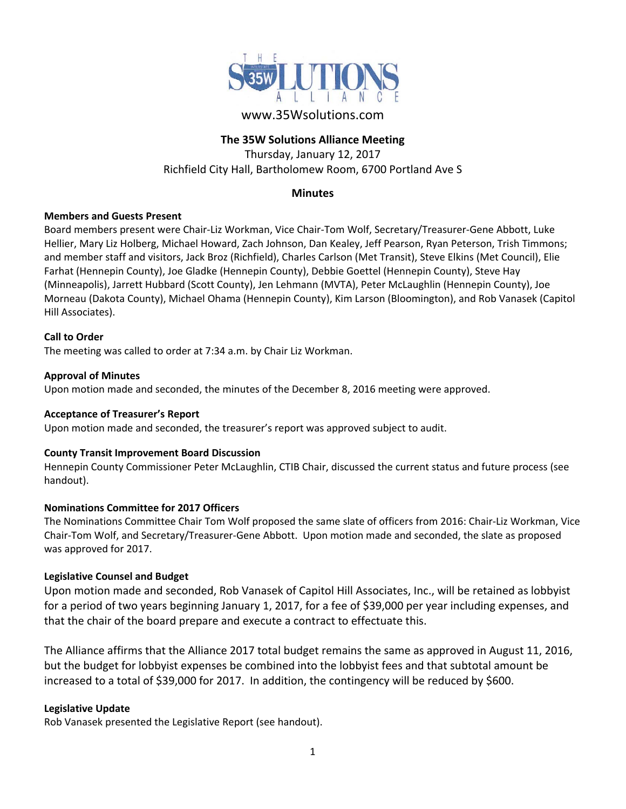

# www.35Wsolutions.com

# **The 35W Solutions Alliance Meeting**

Thursday, January 12, 2017 Richfield City Hall, Bartholomew Room, 6700 Portland Ave S

## **Minutes**

## **Members and Guests Present**

Board members present were Chair‐Liz Workman, Vice Chair‐Tom Wolf, Secretary/Treasurer‐Gene Abbott, Luke Hellier, Mary Liz Holberg, Michael Howard, Zach Johnson, Dan Kealey, Jeff Pearson, Ryan Peterson, Trish Timmons; and member staff and visitors, Jack Broz (Richfield), Charles Carlson (Met Transit), Steve Elkins (Met Council), Elie Farhat (Hennepin County), Joe Gladke (Hennepin County), Debbie Goettel (Hennepin County), Steve Hay (Minneapolis), Jarrett Hubbard (Scott County), Jen Lehmann (MVTA), Peter McLaughlin (Hennepin County), Joe Morneau (Dakota County), Michael Ohama (Hennepin County), Kim Larson (Bloomington), and Rob Vanasek (Capitol Hill Associates).

## **Call to Order**

The meeting was called to order at 7:34 a.m. by Chair Liz Workman.

#### **Approval of Minutes**

Upon motion made and seconded, the minutes of the December 8, 2016 meeting were approved.

#### **Acceptance of Treasurer's Report**

Upon motion made and seconded, the treasurer's report was approved subject to audit.

## **County Transit Improvement Board Discussion**

Hennepin County Commissioner Peter McLaughlin, CTIB Chair, discussed the current status and future process (see handout).

#### **Nominations Committee for 2017 Officers**

The Nominations Committee Chair Tom Wolf proposed the same slate of officers from 2016: Chair‐Liz Workman, Vice Chair‐Tom Wolf, and Secretary/Treasurer‐Gene Abbott. Upon motion made and seconded, the slate as proposed was approved for 2017.

## **Legislative Counsel and Budget**

Upon motion made and seconded, Rob Vanasek of Capitol Hill Associates, Inc., will be retained as lobbyist for a period of two years beginning January 1, 2017, for a fee of \$39,000 per year including expenses, and that the chair of the board prepare and execute a contract to effectuate this.

The Alliance affirms that the Alliance 2017 total budget remains the same as approved in August 11, 2016, but the budget for lobbyist expenses be combined into the lobbyist fees and that subtotal amount be increased to a total of \$39,000 for 2017. In addition, the contingency will be reduced by \$600.

## **Legislative Update**

Rob Vanasek presented the Legislative Report (see handout).